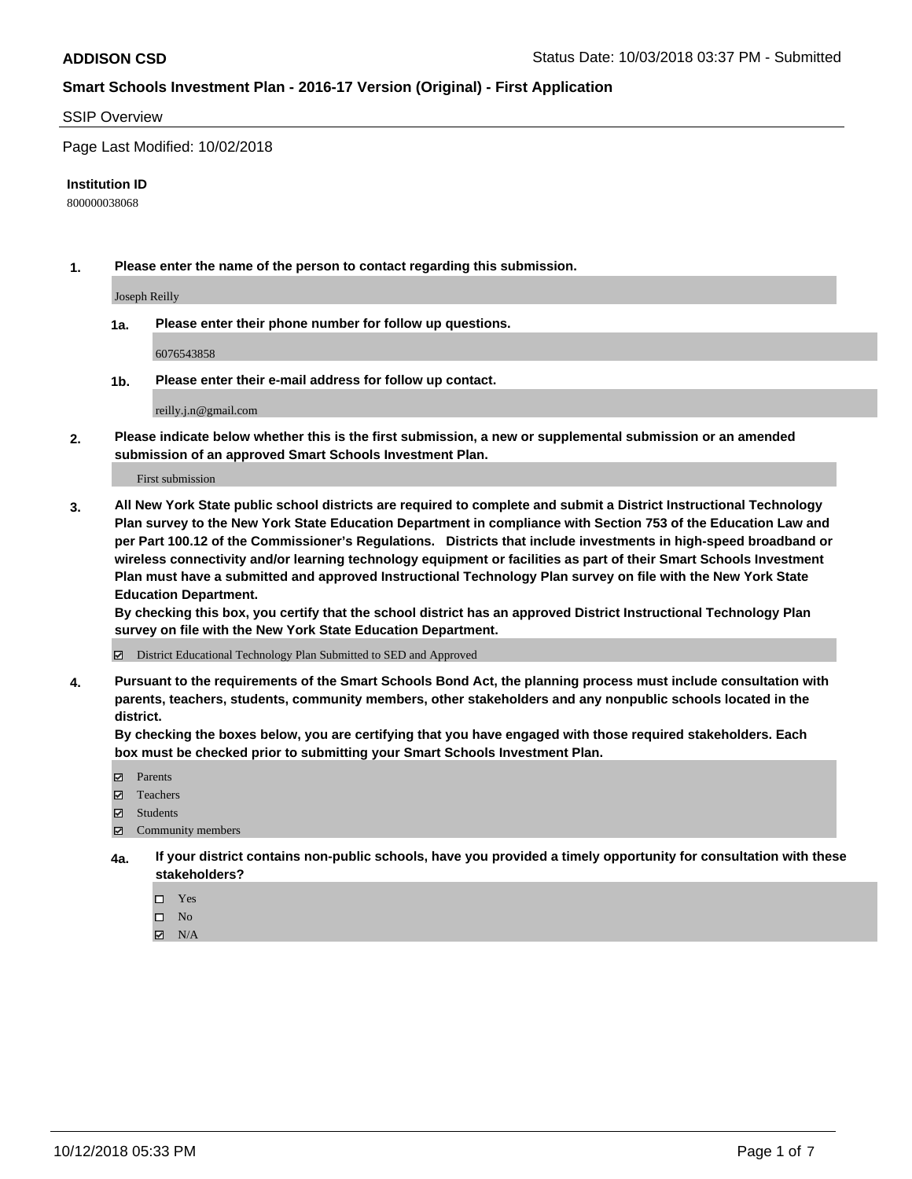#### SSIP Overview

Page Last Modified: 10/02/2018

#### **Institution ID**

800000038068

**1. Please enter the name of the person to contact regarding this submission.**

Joseph Reilly

**1a. Please enter their phone number for follow up questions.**

6076543858

**1b. Please enter their e-mail address for follow up contact.**

reilly.j.n@gmail.com

**2. Please indicate below whether this is the first submission, a new or supplemental submission or an amended submission of an approved Smart Schools Investment Plan.**

First submission

**3. All New York State public school districts are required to complete and submit a District Instructional Technology Plan survey to the New York State Education Department in compliance with Section 753 of the Education Law and per Part 100.12 of the Commissioner's Regulations. Districts that include investments in high-speed broadband or wireless connectivity and/or learning technology equipment or facilities as part of their Smart Schools Investment Plan must have a submitted and approved Instructional Technology Plan survey on file with the New York State Education Department.** 

**By checking this box, you certify that the school district has an approved District Instructional Technology Plan survey on file with the New York State Education Department.**

District Educational Technology Plan Submitted to SED and Approved

**4. Pursuant to the requirements of the Smart Schools Bond Act, the planning process must include consultation with parents, teachers, students, community members, other stakeholders and any nonpublic schools located in the district.** 

**By checking the boxes below, you are certifying that you have engaged with those required stakeholders. Each box must be checked prior to submitting your Smart Schools Investment Plan.**

- **□** Parents
- Teachers
- Students
- $\boxtimes$  Community members
- **4a. If your district contains non-public schools, have you provided a timely opportunity for consultation with these stakeholders?**
	- $\Box$  Yes
	- $\qquad \qquad$  No
	- $\blacksquare$  N/A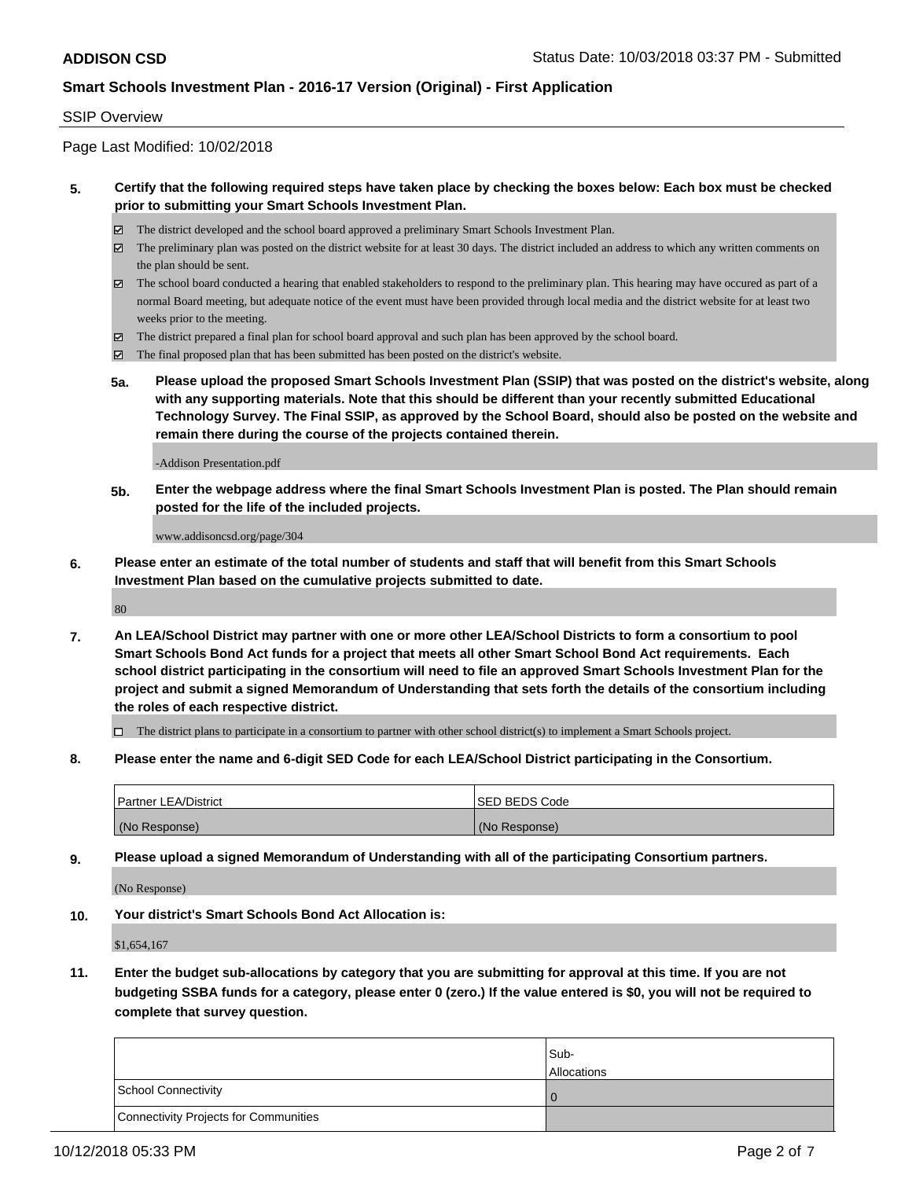### SSIP Overview

Page Last Modified: 10/02/2018

## **5. Certify that the following required steps have taken place by checking the boxes below: Each box must be checked prior to submitting your Smart Schools Investment Plan.**

- The district developed and the school board approved a preliminary Smart Schools Investment Plan.
- $\boxtimes$  The preliminary plan was posted on the district website for at least 30 days. The district included an address to which any written comments on the plan should be sent.
- $\boxtimes$  The school board conducted a hearing that enabled stakeholders to respond to the preliminary plan. This hearing may have occured as part of a normal Board meeting, but adequate notice of the event must have been provided through local media and the district website for at least two weeks prior to the meeting.
- The district prepared a final plan for school board approval and such plan has been approved by the school board.
- $\boxtimes$  The final proposed plan that has been submitted has been posted on the district's website.
- **5a. Please upload the proposed Smart Schools Investment Plan (SSIP) that was posted on the district's website, along with any supporting materials. Note that this should be different than your recently submitted Educational Technology Survey. The Final SSIP, as approved by the School Board, should also be posted on the website and remain there during the course of the projects contained therein.**

-Addison Presentation.pdf

**5b. Enter the webpage address where the final Smart Schools Investment Plan is posted. The Plan should remain posted for the life of the included projects.**

www.addisoncsd.org/page/304

**6. Please enter an estimate of the total number of students and staff that will benefit from this Smart Schools Investment Plan based on the cumulative projects submitted to date.**

80

**7. An LEA/School District may partner with one or more other LEA/School Districts to form a consortium to pool Smart Schools Bond Act funds for a project that meets all other Smart School Bond Act requirements. Each school district participating in the consortium will need to file an approved Smart Schools Investment Plan for the project and submit a signed Memorandum of Understanding that sets forth the details of the consortium including the roles of each respective district.**

 $\Box$  The district plans to participate in a consortium to partner with other school district(s) to implement a Smart Schools project.

**8. Please enter the name and 6-digit SED Code for each LEA/School District participating in the Consortium.**

| <b>Partner LEA/District</b> | <b>ISED BEDS Code</b> |
|-----------------------------|-----------------------|
| (No Response)               | (No Response)         |

**9. Please upload a signed Memorandum of Understanding with all of the participating Consortium partners.**

(No Response)

**10. Your district's Smart Schools Bond Act Allocation is:**

\$1,654,167

**11. Enter the budget sub-allocations by category that you are submitting for approval at this time. If you are not budgeting SSBA funds for a category, please enter 0 (zero.) If the value entered is \$0, you will not be required to complete that survey question.**

|                                              | Sub-<br><b>Allocations</b> |
|----------------------------------------------|----------------------------|
| <b>School Connectivity</b>                   |                            |
| <b>Connectivity Projects for Communities</b> |                            |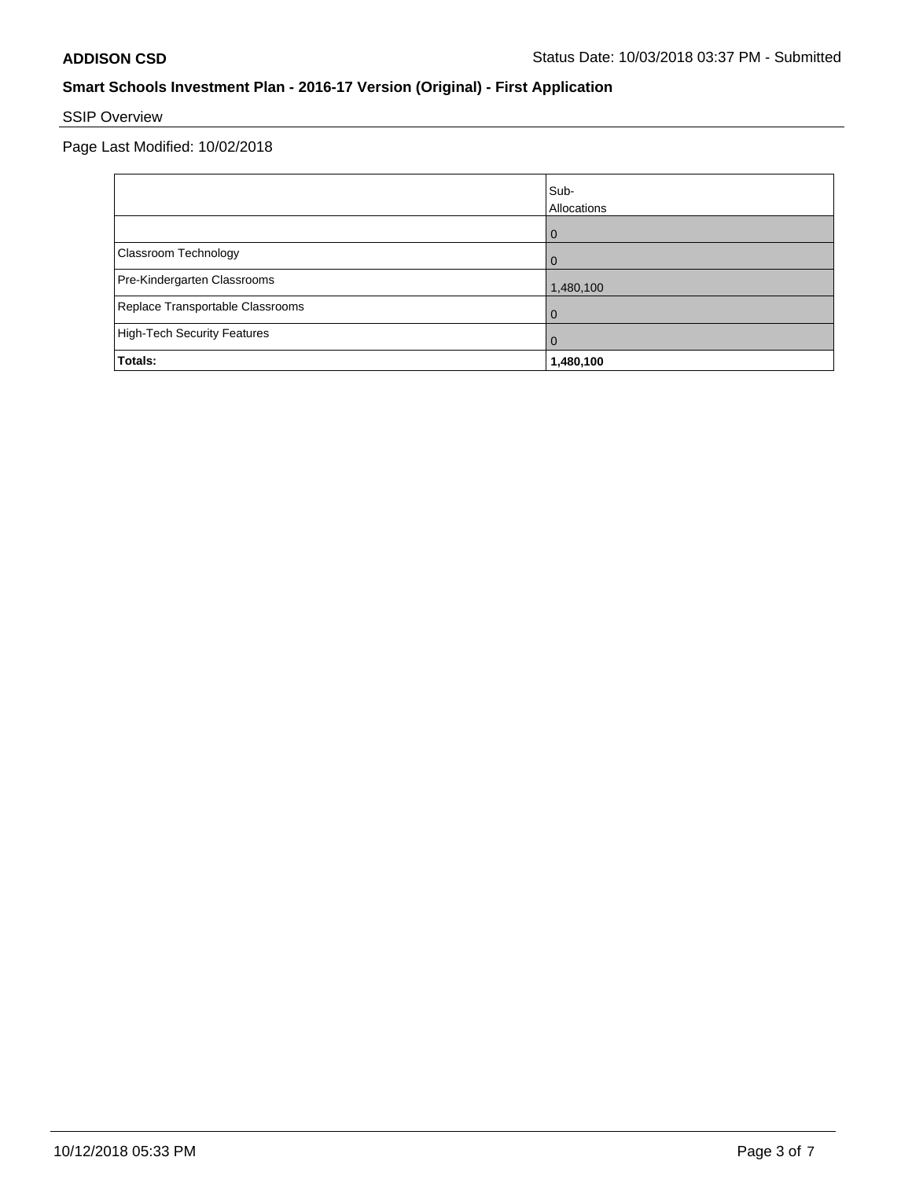# SSIP Overview

Page Last Modified: 10/02/2018

|                                  | Sub-<br>Allocations |
|----------------------------------|---------------------|
|                                  | $\Omega$            |
| Classroom Technology             | $\Omega$            |
| Pre-Kindergarten Classrooms      | 1,480,100           |
| Replace Transportable Classrooms | $\Omega$            |
| High-Tech Security Features      | $\overline{0}$      |
| Totals:                          | 1,480,100           |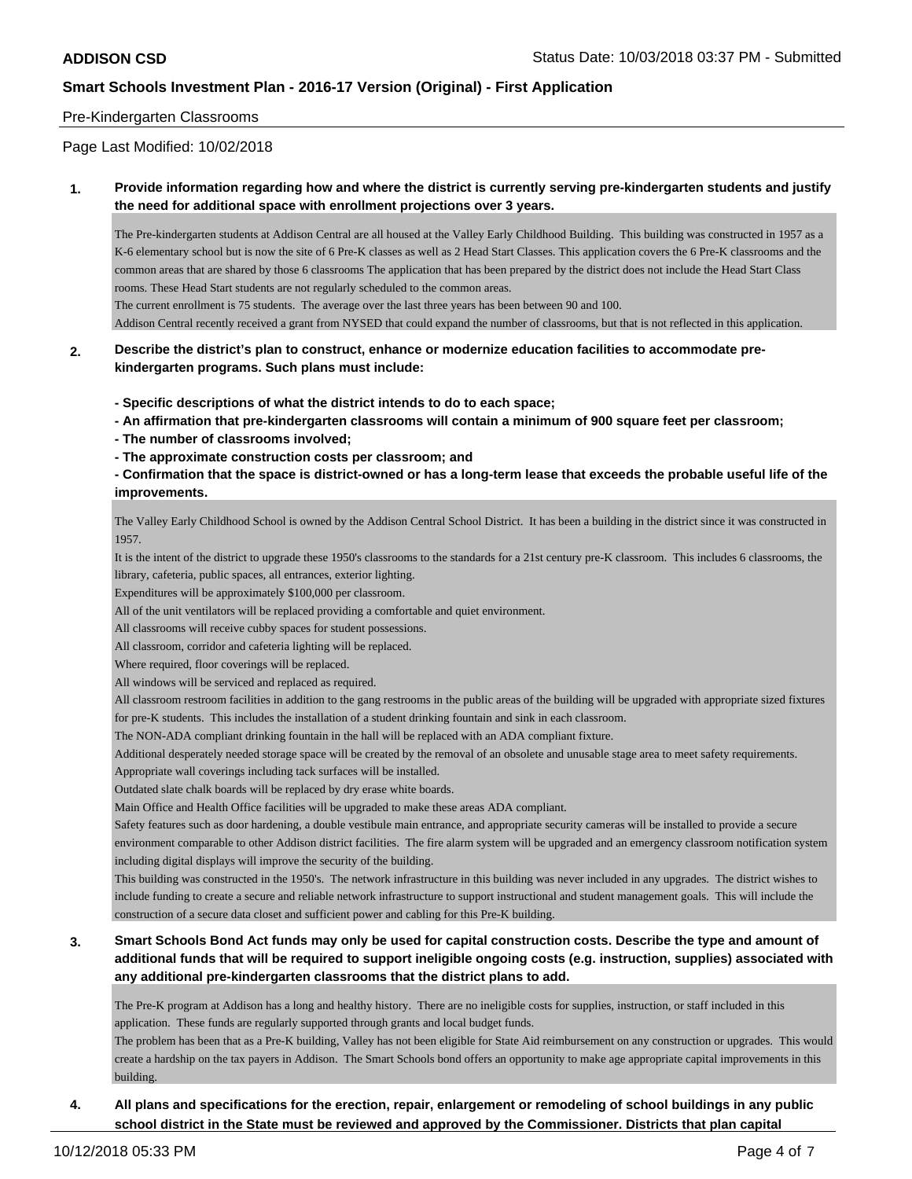### Pre-Kindergarten Classrooms

Page Last Modified: 10/02/2018

### **1. Provide information regarding how and where the district is currently serving pre-kindergarten students and justify the need for additional space with enrollment projections over 3 years.**

The Pre-kindergarten students at Addison Central are all housed at the Valley Early Childhood Building. This building was constructed in 1957 as a K-6 elementary school but is now the site of 6 Pre-K classes as well as 2 Head Start Classes. This application covers the 6 Pre-K classrooms and the common areas that are shared by those 6 classrooms The application that has been prepared by the district does not include the Head Start Class rooms. These Head Start students are not regularly scheduled to the common areas.

The current enrollment is 75 students. The average over the last three years has been between 90 and 100.

Addison Central recently received a grant from NYSED that could expand the number of classrooms, but that is not reflected in this application.

### **2. Describe the district's plan to construct, enhance or modernize education facilities to accommodate prekindergarten programs. Such plans must include:**

**- Specific descriptions of what the district intends to do to each space;**

**- An affirmation that pre-kindergarten classrooms will contain a minimum of 900 square feet per classroom;**

- **The number of classrooms involved;**
- **The approximate construction costs per classroom; and**

**- Confirmation that the space is district-owned or has a long-term lease that exceeds the probable useful life of the improvements.**

The Valley Early Childhood School is owned by the Addison Central School District. It has been a building in the district since it was constructed in 1957.

It is the intent of the district to upgrade these 1950's classrooms to the standards for a 21st century pre-K classroom. This includes 6 classrooms, the library, cafeteria, public spaces, all entrances, exterior lighting.

Expenditures will be approximately \$100,000 per classroom.

All of the unit ventilators will be replaced providing a comfortable and quiet environment.

All classrooms will receive cubby spaces for student possessions.

All classroom, corridor and cafeteria lighting will be replaced.

Where required, floor coverings will be replaced.

All windows will be serviced and replaced as required.

All classroom restroom facilities in addition to the gang restrooms in the public areas of the building will be upgraded with appropriate sized fixtures for pre-K students. This includes the installation of a student drinking fountain and sink in each classroom.

The NON-ADA compliant drinking fountain in the hall will be replaced with an ADA compliant fixture.

Additional desperately needed storage space will be created by the removal of an obsolete and unusable stage area to meet safety requirements.

Appropriate wall coverings including tack surfaces will be installed.

Outdated slate chalk boards will be replaced by dry erase white boards.

Main Office and Health Office facilities will be upgraded to make these areas ADA compliant.

Safety features such as door hardening, a double vestibule main entrance, and appropriate security cameras will be installed to provide a secure environment comparable to other Addison district facilities. The fire alarm system will be upgraded and an emergency classroom notification system including digital displays will improve the security of the building.

This building was constructed in the 1950's. The network infrastructure in this building was never included in any upgrades. The district wishes to include funding to create a secure and reliable network infrastructure to support instructional and student management goals. This will include the construction of a secure data closet and sufficient power and cabling for this Pre-K building.

## **3. Smart Schools Bond Act funds may only be used for capital construction costs. Describe the type and amount of additional funds that will be required to support ineligible ongoing costs (e.g. instruction, supplies) associated with any additional pre-kindergarten classrooms that the district plans to add.**

The Pre-K program at Addison has a long and healthy history. There are no ineligible costs for supplies, instruction, or staff included in this application. These funds are regularly supported through grants and local budget funds.

The problem has been that as a Pre-K building, Valley has not been eligible for State Aid reimbursement on any construction or upgrades. This would create a hardship on the tax payers in Addison. The Smart Schools bond offers an opportunity to make age appropriate capital improvements in this building.

## **4. All plans and specifications for the erection, repair, enlargement or remodeling of school buildings in any public school district in the State must be reviewed and approved by the Commissioner. Districts that plan capital**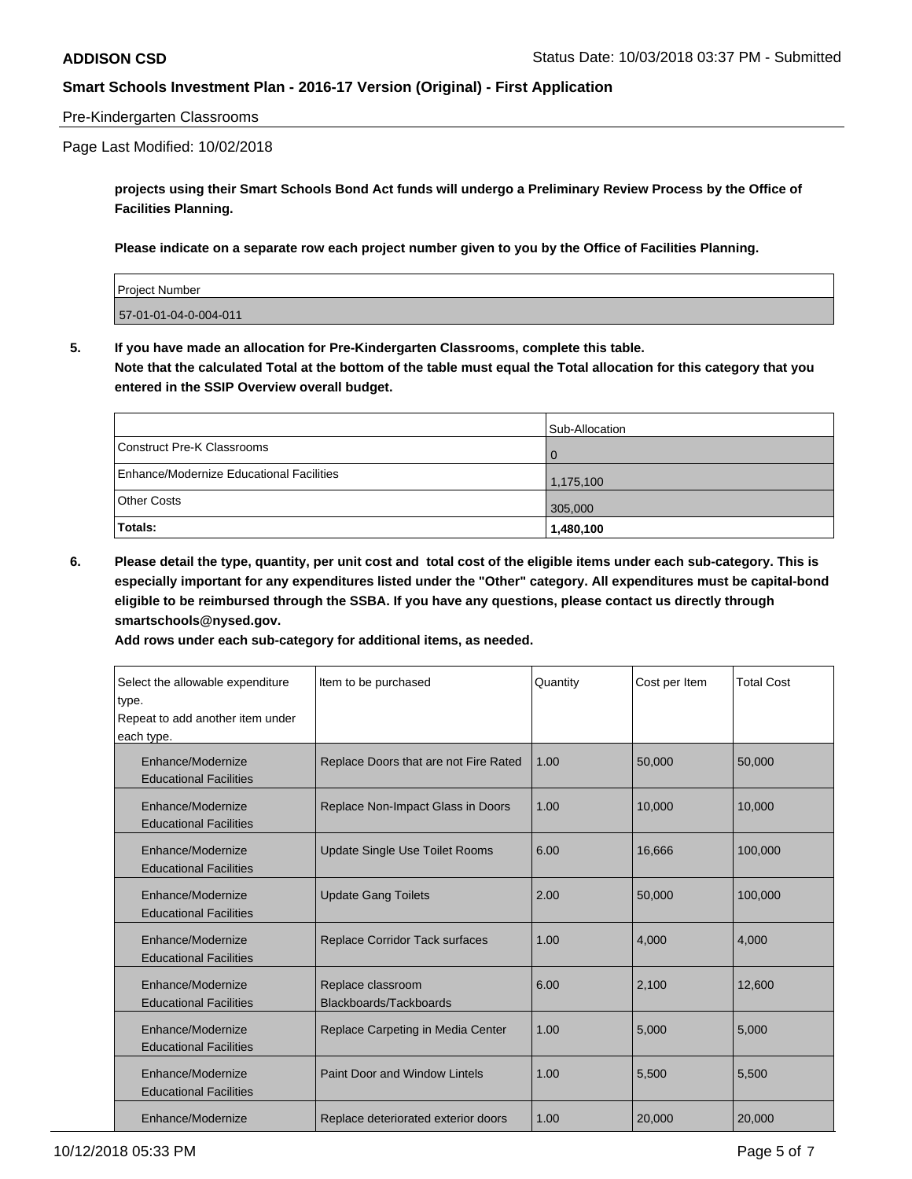### Pre-Kindergarten Classrooms

#### Page Last Modified: 10/02/2018

**projects using their Smart Schools Bond Act funds will undergo a Preliminary Review Process by the Office of Facilities Planning.**

**Please indicate on a separate row each project number given to you by the Office of Facilities Planning.**

| <b>Project Number</b> |  |
|-----------------------|--|
| 57-01-01-04-0-004-011 |  |

**5. If you have made an allocation for Pre-Kindergarten Classrooms, complete this table.**

**Note that the calculated Total at the bottom of the table must equal the Total allocation for this category that you entered in the SSIP Overview overall budget.**

|                                          | Sub-Allocation |
|------------------------------------------|----------------|
| Construct Pre-K Classrooms               | $\Omega$       |
| Enhance/Modernize Educational Facilities | 1,175,100      |
| <b>Other Costs</b>                       | 305,000        |
| Totals:                                  | 1,480,100      |

**6. Please detail the type, quantity, per unit cost and total cost of the eligible items under each sub-category. This is especially important for any expenditures listed under the "Other" category. All expenditures must be capital-bond eligible to be reimbursed through the SSBA. If you have any questions, please contact us directly through smartschools@nysed.gov.**

**Add rows under each sub-category for additional items, as needed.**

| Select the allowable expenditure<br>type.<br>Repeat to add another item under<br>each type. | Item to be purchased                        | Quantity | Cost per Item | <b>Total Cost</b> |
|---------------------------------------------------------------------------------------------|---------------------------------------------|----------|---------------|-------------------|
| Enhance/Modernize<br><b>Educational Facilities</b>                                          | Replace Doors that are not Fire Rated       | 1.00     | 50,000        | 50,000            |
| Enhance/Modernize<br><b>Educational Facilities</b>                                          | Replace Non-Impact Glass in Doors           | 1.00     | 10,000        | 10,000            |
| Enhance/Modernize<br><b>Educational Facilities</b>                                          | <b>Update Single Use Toilet Rooms</b>       | 6.00     | 16,666        | 100,000           |
| Enhance/Modernize<br><b>Educational Facilities</b>                                          | <b>Update Gang Toilets</b>                  | 2.00     | 50,000        | 100,000           |
| Enhance/Modernize<br><b>Educational Facilities</b>                                          | <b>Replace Corridor Tack surfaces</b>       | 1.00     | 4.000         | 4.000             |
| Enhance/Modernize<br><b>Educational Facilities</b>                                          | Replace classroom<br>Blackboards/Tackboards | 6.00     | 2,100         | 12,600            |
| Enhance/Modernize<br><b>Educational Facilities</b>                                          | Replace Carpeting in Media Center           | 1.00     | 5,000         | 5,000             |
| Enhance/Modernize<br><b>Educational Facilities</b>                                          | <b>Paint Door and Window Lintels</b>        | 1.00     | 5,500         | 5,500             |
| Enhance/Modernize                                                                           | Replace deteriorated exterior doors         | 1.00     | 20,000        | 20,000            |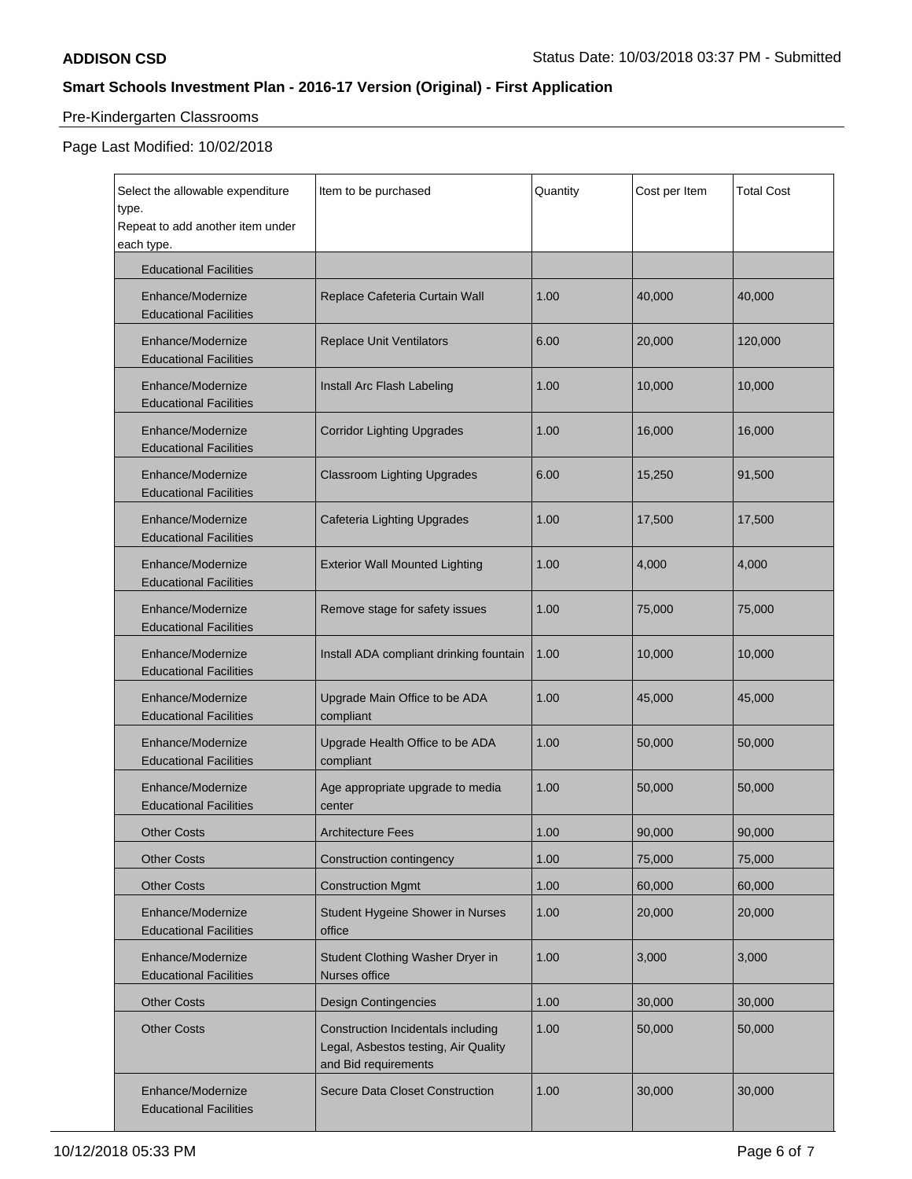# Pre-Kindergarten Classrooms

# Page Last Modified: 10/02/2018

| Select the allowable expenditure<br>type.          | Item to be purchased                                                                               | Quantity | Cost per Item | <b>Total Cost</b> |
|----------------------------------------------------|----------------------------------------------------------------------------------------------------|----------|---------------|-------------------|
| Repeat to add another item under<br>each type.     |                                                                                                    |          |               |                   |
| <b>Educational Facilities</b>                      |                                                                                                    |          |               |                   |
| Enhance/Modernize<br><b>Educational Facilities</b> | Replace Cafeteria Curtain Wall                                                                     | 1.00     | 40,000        | 40,000            |
| Enhance/Modernize<br><b>Educational Facilities</b> | <b>Replace Unit Ventilators</b>                                                                    | 6.00     | 20,000        | 120,000           |
| Enhance/Modernize<br><b>Educational Facilities</b> | Install Arc Flash Labeling                                                                         | 1.00     | 10,000        | 10,000            |
| Enhance/Modernize<br><b>Educational Facilities</b> | <b>Corridor Lighting Upgrades</b>                                                                  | 1.00     | 16,000        | 16,000            |
| Enhance/Modernize<br><b>Educational Facilities</b> | <b>Classroom Lighting Upgrades</b>                                                                 | 6.00     | 15,250        | 91,500            |
| Enhance/Modernize<br><b>Educational Facilities</b> | <b>Cafeteria Lighting Upgrades</b>                                                                 | 1.00     | 17,500        | 17,500            |
| Enhance/Modernize<br><b>Educational Facilities</b> | <b>Exterior Wall Mounted Lighting</b>                                                              | 1.00     | 4,000         | 4,000             |
| Enhance/Modernize<br><b>Educational Facilities</b> | Remove stage for safety issues                                                                     | 1.00     | 75,000        | 75,000            |
| Enhance/Modernize<br><b>Educational Facilities</b> | Install ADA compliant drinking fountain                                                            | 1.00     | 10,000        | 10,000            |
| Enhance/Modernize<br><b>Educational Facilities</b> | Upgrade Main Office to be ADA<br>compliant                                                         | 1.00     | 45,000        | 45,000            |
| Enhance/Modernize<br><b>Educational Facilities</b> | Upgrade Health Office to be ADA<br>compliant                                                       | 1.00     | 50,000        | 50,000            |
| Enhance/Modernize<br><b>Educational Facilities</b> | Age appropriate upgrade to media<br>center                                                         | 1.00     | 50,000        | 50,000            |
| <b>Other Costs</b>                                 | <b>Architecture Fees</b>                                                                           | 1.00     | 90,000        | 90,000            |
| <b>Other Costs</b>                                 | Construction contingency                                                                           | 1.00     | 75,000        | 75,000            |
| <b>Other Costs</b>                                 | <b>Construction Mgmt</b>                                                                           | 1.00     | 60,000        | 60,000            |
| Enhance/Modernize<br><b>Educational Facilities</b> | Student Hygeine Shower in Nurses<br>office                                                         | 1.00     | 20,000        | 20,000            |
| Enhance/Modernize<br><b>Educational Facilities</b> | Student Clothing Washer Dryer in<br>Nurses office                                                  | 1.00     | 3,000         | 3,000             |
| <b>Other Costs</b>                                 | <b>Design Contingencies</b>                                                                        | 1.00     | 30,000        | 30,000            |
| <b>Other Costs</b>                                 | Construction Incidentals including<br>Legal, Asbestos testing, Air Quality<br>and Bid requirements | 1.00     | 50,000        | 50,000            |
| Enhance/Modernize<br><b>Educational Facilities</b> | Secure Data Closet Construction                                                                    | 1.00     | 30,000        | 30,000            |